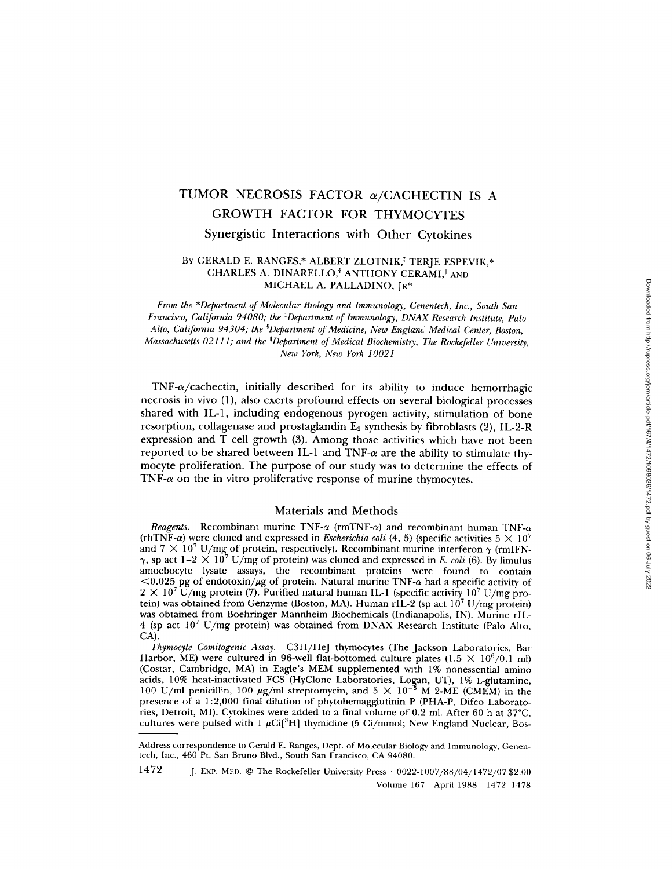# TUMOR NECROSIS FACTOR  $\alpha$ /CACHECTIN IS A GROWTH FACTOR FOR THYMOCYTES Synergistic Interactions with Other Cytokines

## BY GERALD E. RANGES,\* ALBERT ZLOTNIK,<sup>†</sup> TERJE ESPEVIK,\* CHARLES A. DINARELLO,<sup>§</sup> ANTHONY CERAMI,<sup>1</sup> AND MICHAEL A . PALLADINO, JR\*

From the \*Department of Molecular Biology and Immunology, Genentech, Inc., South San Francisco, California 94080; the <sup>1</sup>Department of Immunology, DNAX Research Institute, Palo Alto, California 94304; the <sup>s</sup>Department of Medicine, New England' Medical Center, Boston Massachusetts 02111; and the "Department of Medical Biochemistry, The Rockefeller University New York, New York 10021

TNF- $\alpha$ /cachectin, initially described for its ability to induce hemorrhagic necrosis in vivo (1), also exerts profound effects on several biological processes shared with IL-1, including endogenous pyrogen activity, stimulation of bone resorption, collagenase and prostaglandin E <sup>z</sup> synthesis by fibroblasts (2), IL-2-R expression and T cell growth (3) . Among those activities which have not been reported to be shared between IL-1 and TNF- $\alpha$  are the ability to stimulate thymocyte proliferation. The purpose of our study was to determine the effects of TNF- $\alpha$  on the in vitro proliferative response of murine thymocytes.

#### Materials and Methods

*Reagents.* Recombinant murine  $TNF-\alpha$  (rmTNF- $\alpha$ ) and recombinant human TNF-a (rhTNF- $\alpha$ ) were cloned and expressed in *Escherichia coli* (4, 5) (specific activities  $5 \times 10^7$ and  $7 \times 10^7$  U/mg of protein, respectively). Recombinant murine interferon  $\gamma$  (rmIFN- $\gamma$ , sp act  $1-2 \times 10^7$  U/mg of protein) was cloned and expressed in E. coli (6). By limulus amoebocyte lysate assays, the recombinant proteins were found to contain  $<$ 0.025 pg of endotoxin/ $\mu$ g of protein. Natural murine TNF- $\alpha$  had a specific activity of  $2 \times 10^7$  U/mg protein (7). Purified natural human IL-1 (specific activity  $10^7$  U/mg protein) was obtained from Genzyme (Boston, MA). Human rIL-2 (sp act  $10^7$  U/mg protein) was obtained from Boehringer Mannheim Biochemicals (Indianapolis, IN) . Murine rIL-4 (sp act  $10^7$  U/mg protein) was obtained from DNAX Research Institute (Palo Alto, CA) .

Thymocyte Comitogenic Assay . C3H/Hej thymocytes (The Jackson Laboratories, Bar Harbor, ME) were cultured in 96-well flat-bottomed culture plates  $(1.5 \times 10^6/0.1 \text{ ml})$ (Costar, Cambridge, MA) in Eagle's MEM supplemented with 1% nonessential amino acids, 10% heat-inactivated FCS (HyClone Laboratories, Logan, UT), 1% *L*-glutamine, 100 U/ml penicillin, 100  $\mu$ g/ml streptomycin, and 5 × 10<sup>-5</sup> M 2-ME (CMEM) in the presence of a <sup>1</sup> :2,000 final dilution of phytohemagglutinin P (PHA-P, Difco Laboratories, Detroit, MI). Cytokines were added to a final volume of 0.2 ml. After 60 h at 37°C, cultures were pulsed with  $1 \ \mu\mathrm{Ci[^3H]}$  thymidine (5 Ci/mmol; New England Nuclear, Bos-

1472 J . Exp . MED . © The Rockefeller University Press - 0022-1007/88/04/1472/07 \$2 .00 Volume 167 April 1988 1472-1478

Address correspondence to Gerald E. Ranges, Dept. of Molecular Biology and Immunology, Genentech, Inc., 460 Pt. San Bruno Blvd., South San Francisco, CA 94080.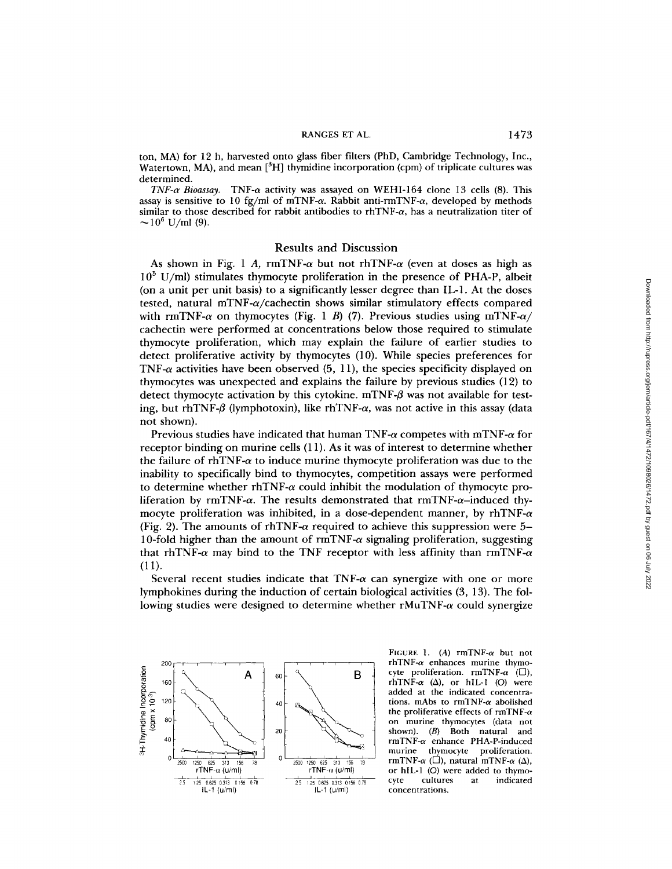#### RANGES ET AL

ton, MA) for 12 h, harvested onto glass fiber filters (PhD, Cambridge Technology, Inc., Watertown, MA), and mean  $[{}^{3}H]$  thymidine incorporation (cpm) of triplicate cultures was determined .

TNF- $\alpha$  Bioassay. TNF- $\alpha$  activity was assayed on WEHI-164 clone 13 cells (8). This assay is sensitive to 10 fg/ml of mTNF- $\alpha$ . Rabbit anti-rmTNF- $\alpha$ , developed by methods similar to those described for rabbit antibodies to rhTNF- $\alpha$ , has a neutralization titer of  $10^6$  U/ml (9).

#### Results and Discussion

As shown in Fig. 1 A, rmTNF- $\alpha$  but not rhTNF- $\alpha$  (even at doses as high as 10 <sup>5</sup> U/ml) stimulates thymocyte proliferation in the presence of PHA-P, albeit (on a unit per unit basis) to a significantly lesser degree than IL-1. At the doses tested, natural mTNF- $\alpha$ /cachectin shows similar stimulatory effects compared with rmTNF- $\alpha$  on thymocytes (Fig. 1 B) (7). Previous studies using mTNF- $\alpha$ / cachectin were performed at concentrations below those required to stimulate thymocyte proliferation, which may explain the failure of earlier studies to detect proliferative activity by thymocytes (10) . While species preferences for TNF- $\alpha$  activities have been observed (5, 11), the species specificity displayed on thymocytes was unexpected and explains the failure by previous studies (12) to detect thymocyte activation by this cytokine. mTNF- $\beta$  was not available for testing, but rhTNF- $\beta$  (lymphotoxin), like rhTNF- $\alpha$ , was not active in this assay (data not shown) .

Previous studies have indicated that human TNF- $\alpha$  competes with mTNF- $\alpha$  for receptor binding on murine cells (11) . As it was of interest to determine whether the failure of rhTNF- $\alpha$  to induce murine thymocyte proliferation was due to the inability to specifically bind to thymocytes, competition assays were performed to determine whether rhTNF-a could inhibit the modulation of thymocyte proliferation by rmTNF- $\alpha$ . The results demonstrated that rmTNF- $\alpha$ -induced thymocyte proliferation was inhibited, in a dose-dependent manner, by rhTNF- $\alpha$ (Fig. 2). The amounts of rhTNF- $\alpha$  required to achieve this suppression were 5– 10-fold higher than the amount of  $rmTNF-\alpha$  signaling proliferation, suggesting that rhTNF- $\alpha$  may bind to the TNF receptor with less affinity than rmTNF- $\alpha$ (11) .

Several recent studies indicate that TNF- $\alpha$  can synergize with one or more lymphokines during the induction of certain biological activities (3, 13) . The following studies were designed to determine whether  $rMuTNF-\alpha$  could synergize



FIGURE 1.  $(A)$  rmTNF- $\alpha$  but not rhTNF- $\alpha$  enhances murine thymo-<br>cyte proliferation. rmTNF- $\alpha$  ( $\square$ ), rhTNF- $\alpha$  ( $\Delta$ ), or hIL-1 (O) were added at the indicated concentrations. mAbs to rmTNF- $\alpha$  abolished the proliferative effects of rmTNF- $\alpha$ on murine thymocytes (data not shown) . (B) Both natural and rmTNF-a enhance PHA-P-induced murine thymocyte proliferation .  $\frac{1}{50.625.0313.0156.078}$  cyte cultures at indicated<br>IL-1 (u/ml) concentrations. concentrations.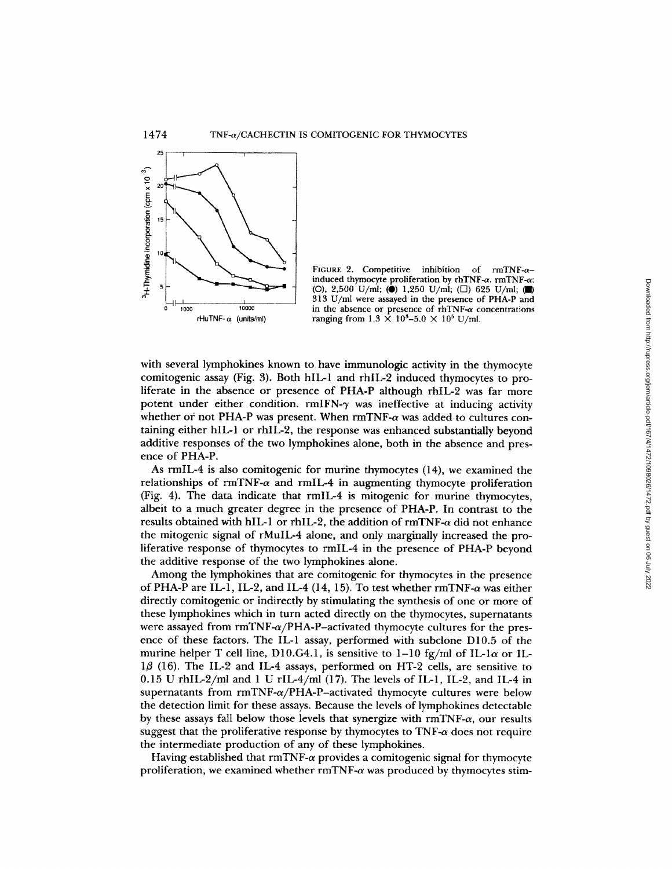

FIGURE 2. Competitive inhibition of  $rmTNF-\alpha$ induced thymocyte proliferation by rhTNF-a. rmTNF-a: (O), 2,500 U/ml; ( $\bullet$ ) 1,250 U/ml; ( $\square$ ) 625 U/ml; ( $\square$ ) 313 U/ml were assayed in the presence of PHA-P and in the absence or presence of rhTNF- $\alpha$  concentrations ranging from  $1.3 \times 10^3 - 5.0 \times 10^5$  U/ml.

with several lymphokines known to have immunologic activity in the thymocyte comitogenic assay (Fig. 3). Both hIL-I and rhIL-2 induced thymocytes to proliferate in the absence or presence of PHA-P although rhIL-2 was far more potent under either condition.  $rmIFN- $\gamma$  was ineffective at inducing activity$ whether or not PHA-P was present. When  $rmTNF-\alpha$  was added to cultures containing either hIL-I or rhIL-2, the response was enhanced substantially beyond additive responses of the two lymphokines alone, both in the absence and presence of PHA-P.

As rmIL-4 is also comitogenic for murine thymocytes (14), we examined the relationships of  $rmTNF-\alpha$  and  $rmL-4$  in augmenting thymocyte proliferation (Fig. 4). The data indicate that rmIL-4 is mitogenic for marine thymocytes, albeit to a much greater degree in the presence of PHA-P. In contrast to the results obtained with hIL-1 or rhIL-2, the addition of rmTNF-a did not enhance the mitogenic signal of rMuIL-4 alone, and only marginally increased the proliferative response of thymocytes to rmIL-4 in the presence of PHA-P beyond the additive response of the two lymphokines alone.

Among the lymphokines that are comitogenic for thymocytes in the presence of PHA-P are IL-1, IL-2, and IL-4 (14, 15). To test whether  $rmTNF-\alpha$  was either directly comitogenic or indirectly by stimulating the synthesis of one or more of these lymphokines which in turn acted directly on the thymocytes, supernatants were assayed from  $\text{rmTNF-}\alpha/\text{PHA-P}-$ activated thymocyte cultures for the presence of these factors . The IL-1 assay, performed with subclone D10.5 of the murine helper T cell line, D10.G4.1, is sensitive to  $1-10$  fg/ml of IL- $1\alpha$  or IL- $1\beta$  (16). The IL-2 and IL-4 assays, performed on HT-2 cells, are sensitive to 0.15 U rhIL-2/ml and <sup>I</sup> U rIL-4/ml (17). The levels of IL-1, IL-2, and IL-4 in supernatants from  $rmTNF-\alpha/PHA-P-activated$  thymocyte cultures were below the detection limit for these assays . Because the levels of lymphokines detectable by these assays fall below those levels that synergize with  $\text{rmTNF-}\alpha$ , our results suggest that the proliferative response by thymocytes to  $TNF-\alpha$  does not require the intermediate production of any of these lymphokines.

Having established that  $\text{rmTNF-}\alpha$  provides a comitogenic signal for thymocyte proliferation, we examined whether  $\text{rmTNF}-\alpha$  was produced by thymocytes stim-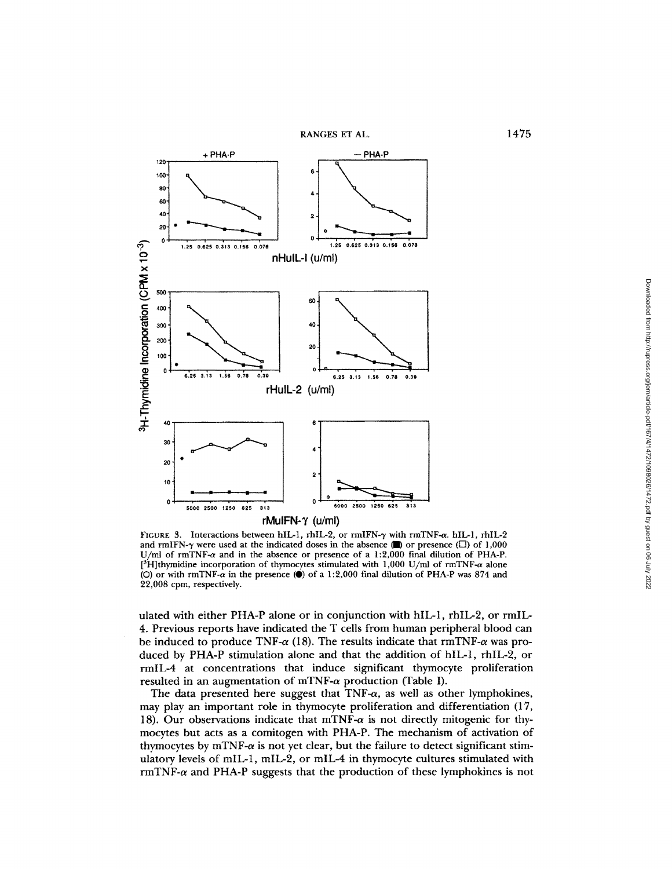1475



FIGURE 3. Interactions between hIL-1, rhIL-2, or rmIFN- $\gamma$  with rmTNF- $\alpha$ . hIL-1, rhIL-2 and rmIFN- $\gamma$  were used at the indicated doses in the absence ( $\Box$ ) or presence ( $\Box$ ) of 1,000 U/ml of  $r m TNF-\alpha$  and in the absence or presence of a 1:2,000 final dilution of PHA-P.  $[^{3}H]$ thymidine incorporation of thymocytes stimulated with 1,000 U/ml of rmTNF- $\alpha$  alone (O) or with rmTNF- $\alpha$  in the presence ( $\bullet$ ) of a 1:2,000 final dilution of PHA-P was 874 and 22,008 cpm, respectively.

ulated with either PHA-P alone or in conjunction with hIL-1, rhIL-2, or rmIL-4. Previous reports have indicated the T cells from human peripheral blood can be induced to produce TNF- $\alpha$  (18). The results indicate that rmTNF- $\alpha$  was produced by PHA-P stimulation alone and that the addition of hIL-1, rhIL-2, or rmIL-4 at concentrations that induce significant thymocyte proliferation resulted in an augmentation of mTNF- $\alpha$  production (Table I).

The data presented here suggest that TNF- $\alpha$ , as well as other lymphokines, may play an important role in thymocyte proliferation and differentiation (17, 18). Our observations indicate that mTNF- $\alpha$  is not directly mitogenic for thymocytes but acts as a comitogen with PHA-P. The mechanism of activation of thymocytes by  $mTNF-\alpha$  is not yet clear, but the failure to detect significant stimulatory levels of mIL-1, mIL-2, or mIL-4 in thymocyte cultures stimulated with  $rmTNF-\alpha$  and PHA-P suggests that the production of these lymphokines is not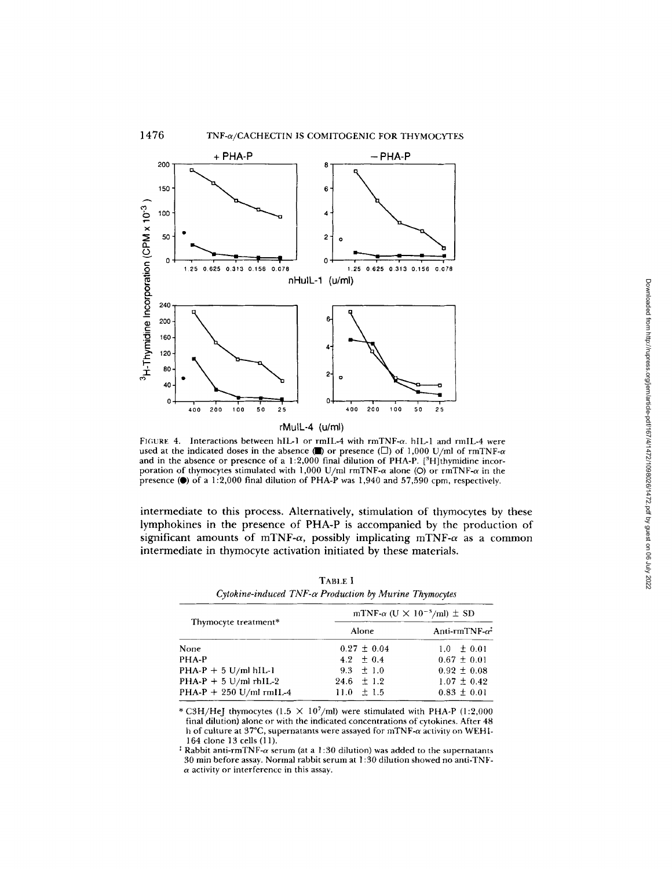

FIGURE 4. Interactions between hIL-1 or rmIL-4 with rmTNF- $\alpha$ . hIL-1 and rmIL-4 were used at the indicated doses in the absence  $(\Box)$  or presence  $(\Box)$  of 1,000 U/ml of rmTNF- $\alpha$ and in the absence or presence of a 1:2,000 final dilution of PHA-P. [<sup>3</sup>H]thymidine incorporation of thymocytes stimulated with  $1,000$  U/ml rmTNF- $\alpha$  alone (O) or rmTNF- $\alpha$  in the presence  $(\bullet)$  of a 1:2,000 final dilution of PHA-P was 1,940 and 57,590 cpm, respectively.

intermediate to this process. Alternatively, stimulation of thymocytes by these lymphokines in the presence of PHA-P is accompanied by the production of significant amounts of mTNF- $\alpha$ , possibly implicating mTNF- $\alpha$  as a common intermediate in thymocyte activation initiated by these materials.

| Thymocyte treatment*      | mTNF- $\alpha$ (U $\times$ 10 <sup>-3</sup> /ml) $\pm$ SD |                        |
|---------------------------|-----------------------------------------------------------|------------------------|
|                           | Alone                                                     | Anti-rmTNF- $\alpha^2$ |
| None                      | $0.27 \pm 0.04$                                           | $1.0 \pm 0.01$         |
| PHA-P                     | 4.2 $\pm$ 0.4                                             | $0.67 \pm 0.01$        |
| $PHA-P + 5 U/ml hIL-I$    | $9.3 \pm 1.0$                                             | $0.92 \pm 0.08$        |
| PHA-P + 5 U/ml rhIL-2     | $24.6 + 1.2$                                              | $1.07 \pm 0.42$        |
| PHA-P + $250$ U/ml rmIL-4 | $11.0 + 1.5$                                              | $0.83 \pm 0.01$        |

TABLF <sup>I</sup> Cytokine-induced TNF-a Production by Murine Thymocytes

\* C3H/HeJ thymocytes  $(1.5 \times 10^7/\text{ml})$  were stimulated with PHA-P  $(1:2,000$ final dilution) alone or with the indicated concentrations of cytokines. After 48 h of culture at 37°C, supernatants were assayed for mTNF- $\alpha$  activity on WEHI-164 clone 13 cells (11) .

 $\frac{1}{2}$  Rabbit anti-rmTNF- $\alpha$  serum (at a 1:30 dilution) was added to the supernatants 30 min before assay. Normal rabbit serum at <sup>1</sup> :30 dilution showed no anti-TNF- $\alpha$  activity or interference in this assay.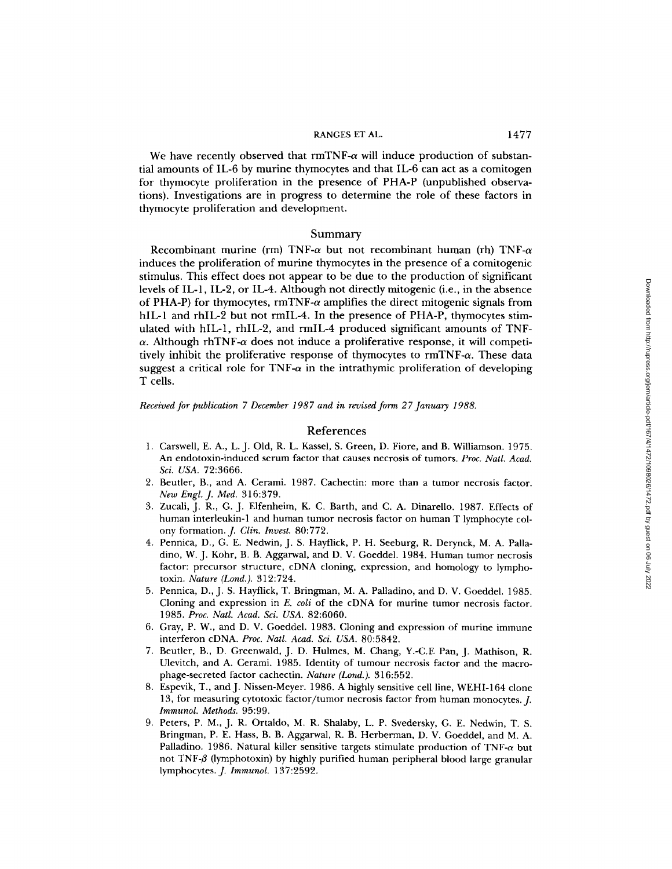#### RANGES ET AL.

We have recently observed that  $rmTNF-\alpha$  will induce production of substantial amounts of IL-6 by murine thymocytes and that IL-6 can act as a comitogen for thymocyte proliferation in the presence of PHA-P (unpublished observations). Investigations are in progress to determine the role of these factors in thymocyte proliferation and development.

#### Summary

Recombinant murine (rm) TNF- $\alpha$  but not recombinant human (rh) TNF- $\alpha$ induces the proliferation of murine thymocytes in the presence of a comitogenic stimulus . This effect does not appear to be due to the production of significant levels of IL-1, IL-2, or IL-4. Although not directly mitogenic (i.e., in the absence of PHA-P) for thymocytes, rmTNF-a amplifies the direct mitogenic signals from hIL-1 and rhIL-2 but not rmIL-4. In the presence of PHA-P, thymocytes stim-<br>ulated with hIL-1, rhIL-2, and rmIL-4 produced significant amounts of TNF- $\alpha$ . Although rhTNF- $\alpha$  does not induce a proliferative response, it will competitively inhibit the proliferative response of thymocytes to rmTNF-a. These data suggest a critical role for TNF- $\alpha$  in the intrathymic proliferation of developing T cells.

Received for publication 7 December 1987 and in revised form 27 January 1988.

#### References

- 1. Carswell, E. A., L. J. Old, R. L. Kassel, S. Green, D. Fiore, and B. Williamson. 1975. An endotoxin-induced serum factor that causes necrosis of tumors. Proc. Natl. Acad. Sci. USA. 72:3666.
- 2. Beutler, B., and A. Cerami. 1987. Cachectin: more than a tumor necrosis factor. New Engl. J. Med. 316:379.
- <sup>3</sup> . Zucali, J. R., G. J. Elfenheim, K. C. Barth, and C. A. Dinarello . 1987. Effect <sup>s</sup> of human interleukin-1 and human tumor necrosis factor on human T lymphocyte colony formation. *J. Clin. Invest.* 80:772.
- 4. Pennica, D., G. E. Nedwin, J. S. Hayflick, P. H. Seeburg, R. Derynck, M. A. Palladino, W. J. Kohr, B. B. Aggarwal, and D. V. Goeddel. 1984. Human tumor necrosis factor: precursor structure, cDNA cloning, expression, and homology to lymphotoxin. Nature (Lond.). 312:724.
- <sup>5</sup> . Pennica, D., J. S. Hayflick, T. Bringman, M. A. Palladino, and D . V. Goeddel. 1985. Clonin g and expression in E. coli of the cDNA for murine tumor necrosis factor. 1985. Proc. Natl. Acad. Sci. USA. 82:6060.
- <sup>6</sup> . Gray, P. W., and D. V. Goeddel. 1983. Clonin g and expression of murine immune interferon cDNA. Proc. Natl. Acad. Sci. USA. 80:5842.
- <sup>7</sup> . Beutler, B., D. Greenwald, J. D. Hulmes, M. Chang, Y.-C .E Pan, J . Mathison, R. Ulevitch, and A. Cerami. 1985. Identity of tumour necrosis factor and the macrophage-secreted factor cachectin. Nature (Lond.). 316:552.
- <sup>8</sup> . Espevik, T., and J. Nissen-Meyer. 1986. A highly sensitive cell line, WEHI-164 clone 13, for measuring cytotoxic factor/tumor necrosis factor from human monocytes. J. Immunol. Methods. 95:99 .
- <sup>9</sup> . Peters, P. M., J. R. Ortaldo, M . R. Shalaby, L. P. Svedersky, G. E. Nedwin, T. S. Bringman, P. E. Hass, B. B. Aggarwal, R. B. Herberman, D. V. Goeddel, and M. A. Palladino. 1986. Natural killer sensitive targets stimulate production of TNF- $\alpha$  but not  $TNF-\beta$  (lymphotoxin) by highly purified human peripheral blood large granular lymphocytes. *J. Immunol.* 137:2592.